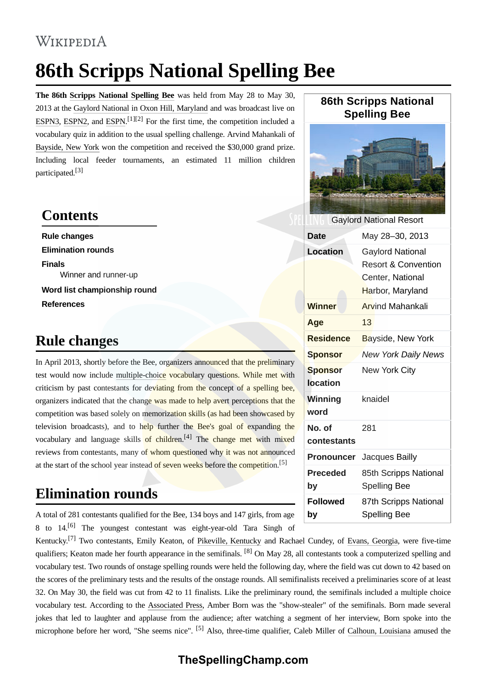#### WIKIPEDIA

# **86th Scripps National Spelling Bee**

**The 86th [Scripps National Spelling Bee](https://en.wikipedia.org/wiki/Scripps_National_Spelling_Bee)** was held from May 28 to May 30, 2013 at the [Gaylord National](https://en.wikipedia.org/wiki/Gaylord_National) in [Oxon Hill, Maryland](https://en.wikipedia.org/wiki/Oxon_Hill,_Maryland) and was broadcast live on [ESPN3](https://en.wikipedia.org/wiki/ESPN3), [ESPN2,](https://en.wikipedia.org/wiki/ESPN2) and [ESPN](https://en.wikipedia.org/wiki/ESPN).<sup>[\[1\]](#page-3-0)[2]</sup> For the first time, the competition included a vocabulary quiz in addition to the usual spelling challenge. Arvind Mahankali of [Bayside, New York](https://en.wikipedia.org/wiki/Bayside,_New_York) won the competition and received the \$30,000 grand prize. Including local feeder tournaments, an estimated 11 million children participated[.\[3\]](#page-3-2)

#### **Contents**

**[Rule changes](#page-0-0) [Elimination rounds](#page-0-1) [Finals](#page-1-0)** [Winner and runner-up](#page-1-1) **[Word list championship round](#page-1-2) [References](#page-3-3)**

### <span id="page-0-0"></span>**Rule changes**

In April 2013, shortly before the Bee, organizers announced that the preliminary test would now include [multiple-choice](https://en.wikipedia.org/wiki/Multiple-choice) vocabulary questions. While met with criticism by past contestants for deviating from the concept of a spelling bee, organizers indicated that the change was made to help avert perceptions that the competition was based solely on memorization skills (as had been showcased by television broadcasts), and to help further the Bee's goal of expanding the vocabulary and language skills of children.<sup>[4]</sup> The change met with mixed reviews from contestants, many of whom questioned why it was not announced at the start of the school year instead of seven weeks before the competition.<sup>[5]</sup>

### <span id="page-0-1"></span>**Elimination rounds**

A total of 281 contestants qualified for the Bee, 134 boys and 147 girls, from age 8 to  $14$ <sup>[\[6\]](#page-3-6)</sup> The youngest contestant was eight-year-old Tara Singh of

Kentuckv.<sup>[7]</sup> Two contestants, Emily Keaton, of [Pikeville, Kentucky](https://en.wikipedia.org/wiki/Pikeville,_Kentucky) and Rachael Cundey, of [Evans, Georgia](https://en.wikipedia.org/wiki/Evans,_Georgia), were five-time qualifiers; Keaton made her fourth appearance in the semifinals. <sup>[\[8\]](#page-3-8)</sup> On May 28, all contestants took a computerized spelling and vocabulary test. Two rounds of onstage spelling rounds were held the following day, where the field was cut down to 42 based on the scores of the preliminary tests and the results of the onstage rounds. All semifinalists received a preliminaries score of at least 32. On May 30, the field was cut from 42 to 11 finalists. Like the preliminary round, the semifinals included a multiple choice vocabulary test. According to the [Associated Press,](https://en.wikipedia.org/wiki/Associated_Press) Amber Born was the "show-stealer" of the semifinals. Born made several jokes that led to laughter and applause from the audience; after watching a segment of her interview, Born spoke into the microphone before her word, "She seems nice". [\[5\]](#page-3-5) Also, three-time qualifier, Caleb Miller of [Calhoun, Louisiana](https://en.wikipedia.org/wiki/Calhoun,_Louisiana) amused the

## **86th Scripps National Spelling Bee**



| <b>Gaylord National Resort</b>    |                                                                                                   |
|-----------------------------------|---------------------------------------------------------------------------------------------------|
| Date                              | May 28-30, 2013                                                                                   |
| <b>Location</b>                   | <b>Gaylord National</b><br><b>Resort &amp; Convention</b><br>Center, National<br>Harbor, Maryland |
| <b>Winner</b>                     | <b>Arvind Mahankali</b>                                                                           |
| Age                               | 13                                                                                                |
| <b>Residence</b>                  | Bayside, New York                                                                                 |
| Sponsor                           | <b>New York Daily News</b>                                                                        |
| <b>Sponsor</b><br><b>location</b> | New York City                                                                                     |
| Winning<br>word                   | knaidel                                                                                           |
| No. of<br>contestants             | 281                                                                                               |
| Pronouncer                        | Jacques Bailly                                                                                    |
| <b>Preceded</b><br>by             | 85th Scripps National<br><b>Spelling Bee</b>                                                      |
| <b>Followed</b><br>by             | 87th Scripps National<br><b>Spelling Bee</b>                                                      |

#### **TheSpellingChamp.com**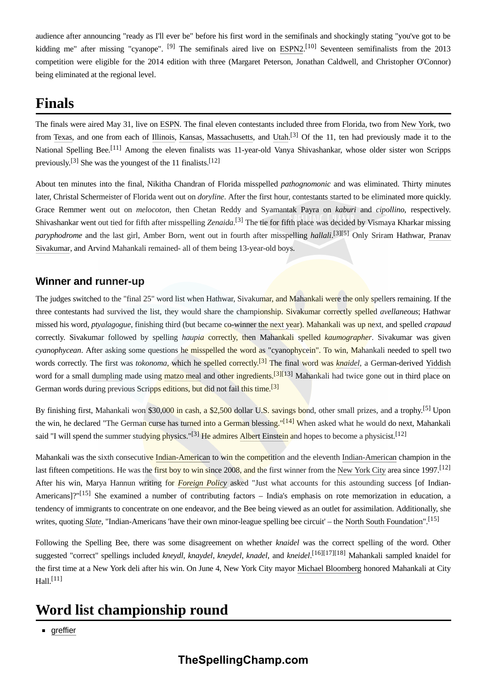audience after announcing "ready as I'll ever be" before his first word in the semifinals and shockingly stating "you've got to be kidding me" after missing "cyanope". <sup>[\[9\]](#page-3-9)</sup> The semifinals aired live on [ESPN2.](https://en.wikipedia.org/wiki/ESPN2)<sup>[\[10\]](#page-3-10)</sup> Seventeen semifinalists from the 2013 competition were eligible for the 2014 edition with three (Margaret Peterson, Jonathan Caldwell, and Christopher O'Connor) being eliminated at the regional level.

### <span id="page-1-0"></span>**Finals**

The finals were aired May 31, live on [ESPN.](https://en.wikipedia.org/wiki/ESPN) The final eleven contestants included three from [Florida](https://en.wikipedia.org/wiki/Florida), two from [New York](https://en.wikipedia.org/wiki/New_York_(state)), two from [Texas,](https://en.wikipedia.org/wiki/Texas) and one from each of [Illinois,](https://en.wikipedia.org/wiki/Illinois) [Kansas,](https://en.wikipedia.org/wiki/Kansas) [Massachusetts](https://en.wikipedia.org/wiki/Massachusetts), and [Utah.](https://en.wikipedia.org/wiki/Utah)<sup>[3]</sup> Of the 11, ten had previously made it to the National Spelling Bee.<sup>[11]</sup> Among the eleven finalists was 11-year-old Vanya Shivashankar, whose older sister won Scripps previously.<sup>[3]</sup> She was the youngest of the 11 finalists.<sup>[12]</sup>

About ten minutes into the final, Nikitha Chandran of Florida misspelled *pathognomonic* and was eliminated. Thirty minutes later, Christal Schermeister of Florida went out on *doryline*. After the first hour, contestants started to be eliminated more quickly. Grace Remmer went out on *melocoton*, then Chetan Reddy and Syamantak Payra on *kaburi* and *cipollino*, respectively. Shivashankar went out tied for fifth after misspelling *Zenaida*. [\[3\]](#page-3-2) The tie for fifth place was decided by Vismaya Kharkar missing *paryphodrome* and the last girl, Amber Born, went out in fourth after misspelling *hallali*. [\[3\]](#page-3-2)[\[5\]](#page-3-5) Only Sriram Hathwar, Pranav [Sivakumar, and Arvind Mahankali remained- all of them being 13-year-old boys.](https://en.wikipedia.org/wiki/Pranav_Sivakumar)

#### <span id="page-1-1"></span>**Winner and runner-up**

The judges switched to the "final 25" word list when Hathwar, Sivakumar, and Mahankali were the only spellers remaining. If the three contestants had survived the list, they would share the championship. Sivakumar correctly spelled *avellaneous*; Hathwar missed his word, *ptyalagogue*, finishing third (but became co-winner [the next year](https://en.wikipedia.org/wiki/87th_Scripps_National_Spelling_Bee)). Mahankali was up next, and spelled *crapaud* correctly. Sivakumar followed by spelling *haupia* correctly, then Mahankali spelled *kaumographer*. Sivakumar was given *cyanophycean*. After asking some questions he misspelled the word as "cyanophycein". To win, Mahankali needed to spell two words correctly. The first was *tokonoma*, which he spelled correctly.[\[3\]](#page-3-2) The final word was *[knaidel](https://en.wikipedia.org/wiki/Knaidel)*, a German-derived [Yiddish](https://en.wikipedia.org/wiki/Yiddish) word for a small [dumpling](https://en.wikipedia.org/wiki/Dumpling) made using [matzo meal](https://en.wikipedia.org/wiki/Matzo_meal) and other ingredients.<sup>[\[3\]](#page-3-2)[\[13\]](#page-3-13)</sup> Mahankali had twice gone out in third place on German words during previous Scripps editions, but did not fail this time.<sup>[\[3\]](#page-3-2)</sup>

By finishing first, Mahankali won \$30,000 in cash, a \$2,500 dollar U.S. savings bond, other small prizes, and a trophy.<sup>[5]</sup> Upon the win, he declared "The German curse has turned into a German blessing."<sup>[14]</sup> When asked what he would do next, Mahankali said "I will spend the summer studying physics."<sup>[3]</sup> He admires [Albert Einstein](https://en.wikipedia.org/wiki/Albert_Einstein) and hopes to become a physicist.<sup>[12]</sup>

Mahankali was the sixth consecutive [Indian-American](https://en.wikipedia.org/wiki/Indian-American) to win the competition and the eleventh [Indian-American](https://en.wikipedia.org/wiki/Indian-American) champion in the last fifteen competitions. He was the first boy to win since 2008, and the first winner from the [New York City](https://en.wikipedia.org/wiki/New_York_City) area since 1997.<sup>[12]</sup> After his win, Marya Hannun writing for *[Foreign Policy](https://en.wikipedia.org/wiki/Foreign_Policy)* asked "Just what accounts for this astounding success [of Indian-Americans]?"<sup>[\[15\]](#page-3-15)</sup> She examined a number of contributing factors – India's emphasis on rote memorization in education, a tendency of immigrants to concentrate on one endeavor, and the Bee being viewed as an outlet for assimilation. Additionally, she writes, quoting *[Slate](https://en.wikipedia.org/wiki/Slate_(magazine))*, "Indian-Americans 'have their own minor-league spelling bee circuit' – the [North South Foundation"](https://en.wikipedia.org/wiki/North_South_Foundation).[\[15\]](#page-3-15)

Following the Spelling Bee, there was some disagreement on whether *knaidel* was the correct spelling of the word. Other suggested "correct" spellings included *kneydl*, *knaydel*, *kneydel*, *knadel*, and *kneidel*. [\[16\]](#page-3-16)[\[17\]](#page-3-17)[\[18\]](#page-4-0) Mahankali sampled knaidel for the first time at a New York deli after his win. On June 4, New York City mayor [Michael Bloomberg](https://en.wikipedia.org/wiki/Michael_Bloomberg) honored Mahankali at City  $Hall.$ <sup>[\[11\]](#page-3-11)</sup>

### <span id="page-1-2"></span>**Word list championship round**

**[greffier](https://en.wiktionary.org/wiki/greffier)**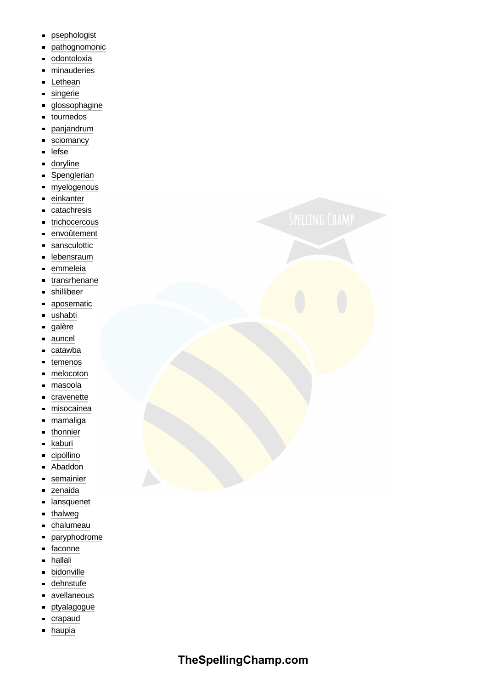- psephologist  $\blacksquare$
- pathognomonic  $\blacksquare$
- odontoloxia  $\blacksquare$
- minauderies  $\blacksquare$
- Lethean  $\blacksquare$
- singerie  $\blacksquare$
- glossophagine  $\blacksquare$
- tournedos o
- $\blacksquare$ panjandrum
- sciomancy  $\blacksquare$
- lefse  $\blacksquare$
- doryline П
- Spenglerian  $\blacksquare$
- myelogenous  $\blacksquare$
- einkanter  $\blacksquare$
- catachresis  $\blacksquare$
- trichocercous  $\blacksquare$
- envoûtement o
- sansculottic  $\blacksquare$
- lebensraum o
- emmeleia É
- transrhenane  $\blacksquare$
- shillibeer  $\blacksquare$
- aposematic  $\blacksquare$
- ushabti É
- galère  $\blacksquare$
- auncel Ė
- catawba Ė
- temenos  $\blacksquare$
- Ĩ. melocoton
- masoola  $\blacksquare$
- cravenette Ė
- misocainea  $\blacksquare$
- mamaliga  $\blacksquare$
- thonnier  $\blacksquare$
- kaburi  $\blacksquare$
- cipollino  $\blacksquare$
- Abaddon  $\blacksquare$
- semainier  $\blacksquare$
- zenaida É
- lansquenet É
- thalweg  $\blacksquare$
- chalumeau  $\blacksquare$
- paryphodrome  $\blacksquare$
- o faconne
- hallali  $\blacksquare$
- bidonville  $\blacksquare$
- dehnstufe  $\blacksquare$
- avellaneous  $\blacksquare$
- ptyalagogue  $\blacksquare$
- crapaud  $\blacksquare$
- haupia  $\blacksquare$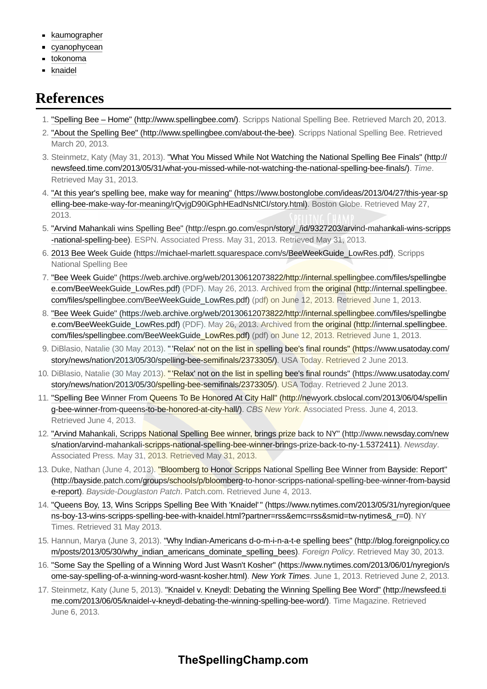- **[kaumographer](https://en.wiktionary.org/wiki/kaumographer)**
- **[cyanophycean](https://en.wiktionary.org/wiki/cyanophycean)**
- [tokonoma](https://en.wiktionary.org/wiki/tokonoma)  $\blacksquare$
- [knaidel](https://en.wiktionary.org/wiki/knaidel)  $\blacksquare$

## <span id="page-3-3"></span>**References**

- <span id="page-3-0"></span>1. ["Spelling Bee – Home" \(http://www.spellingbee.com/\)](http://www.spellingbee.com/). Scripps National Spelling Bee. Retrieved March 20, 2013.
- <span id="page-3-1"></span>2. ["About the Spelling Bee" \(http://www.spellingbee.com/about-the-bee\)](http://www.spellingbee.com/about-the-bee). Scripps National Spelling Bee. Retrieved March 20, 2013.
- <span id="page-3-2"></span>3. [Steinmetz, Katy \(May 31, 2013\). "What You Missed While Not Watching the National Spelling Bee Finals" \(http://](http://newsfeed.time.com/2013/05/31/what-you-missed-while-not-watching-the-national-spelling-bee-finals/) newsfeed.time.com/2013/05/31/what-you-missed-while-not-watching-the-national-spelling-bee-finals/). *Time*. Retrieved May 31, 2013.
- <span id="page-3-4"></span>4. ["At this year's spelling bee, make way for meaning" \(https://www.bostonglobe.com/ideas/2013/04/27/this-year-sp](https://www.bostonglobe.com/ideas/2013/04/27/this-year-spelling-bee-make-way-for-meaning/rQvjgD90iGphHEadNsNtCI/story.html) elling-bee-make-way-for-meaning/rQvjgD90iGphHEadNsNtCI/story.html). Boston Globe. Retrieved May 27, 2013.
- <span id="page-3-5"></span>5. ["Arvind Mahankali wins Spelling Bee" \(http://espn.go.com/espn/story/\\_/id/9327203/arvind-mahankali-wins-scripps](http://espn.go.com/espn/story/_/id/9327203/arvind-mahankali-wins-scripps-national-spelling-bee) -national-spelling-bee). ESPN. Associated Press. May 31, 2013. Retrieved May 31, 2013.
- <span id="page-3-6"></span>6. [2013 Bee Week Guide \(https://michael-marlett.squarespace.com/s/BeeWeekGuide\\_LowRes.pdf\),](https://michael-marlett.squarespace.com/s/BeeWeekGuide_LowRes.pdf) Scripps National Spelling Bee
- <span id="page-3-7"></span>7. ["Bee Week Guide" \(https://web.archive.org/web/20130612073822/http://internal.spellingbee.com/files/spellingbe](https://web.archive.org/web/20130612073822/http://internal.spellingbee.com/files/spellingbee.com/BeeWeekGuide_LowRes.pdf) [e.com/BeeWeekGuide\\_LowRes.pdf\) \(PDF\). May 26, 2013. Archived from the original \(http://internal.spellingbee.](http://internal.spellingbee.com/files/spellingbee.com/BeeWeekGuide_LowRes.pdf) com/files/spellingbee.com/BeeWeekGuide\_LowRes.pdf) (pdf) on June 12, 2013. Retrieved June 1, 2013.
- <span id="page-3-8"></span>8. ["Bee Week Guide" \(https://web.archive.org/web/20130612073822/http://internal.spellingbee.com/files/spellingbe](https://web.archive.org/web/20130612073822/http://internal.spellingbee.com/files/spellingbee.com/BeeWeekGuide_LowRes.pdf) [e.com/BeeWeekGuide\\_LowRes.pdf\) \(PDF\). May 26, 2013. Archived from the original \(http://internal.spellingbee.](http://internal.spellingbee.com/files/spellingbee.com/BeeWeekGuide_LowRes.pdf) com/files/spellingbee.com/BeeWeekGuide\_LowRes.pdf) (pdf) on June 12, 2013. Retrieved June 1, 2013.
- <span id="page-3-9"></span>9. DiBlasio, Natalie (30 May 2013). "'Relax' not on the list in spelling bee's final rounds" (https://www.usatoday.com/ story/news/nation/2013/05/30/spelling-bee-semifinals/2373305/). USA Today. Retrieved 2 June 2013.
- <span id="page-3-10"></span>10. [DiBlasio, Natalie \(30 May 2013\). " 'Relax' not on the list in spelling bee's final rounds" \(https://www.usatoday.com/](https://www.usatoday.com/story/news/nation/2013/05/30/spelling-bee-semifinals/2373305/) story/news/nation/2013/05/30/spelling-bee-semifinals/2373305/). USA Today. Retrieved 2 June 2013.
- <span id="page-3-11"></span>11. ["Spelling Bee Winner From Queens To Be Honored At City Hall" \(http://newyork.cbslocal.com/2013/06/04/spellin](http://newyork.cbslocal.com/2013/06/04/spelling-bee-winner-from-queens-to-be-honored-at-city-hall/) g-bee-winner-from-queens-to-be-honored-at-city-hall/). *CBS New York*. Associated Press. June 4, 2013. Retrieved June 4, 2013.
- <span id="page-3-12"></span>12. ["Arvind Mahankali, Scripps National Spelling Bee winner, brings prize back to NY" \(http://www.newsday.com/new](http://www.newsday.com/news/nation/arvind-mahankali-scripps-national-spelling-bee-winner-brings-prize-back-to-ny-1.5372411) s/nation/arvind-mahankali-scripps-national-spelling-bee-winner-brings-prize-back-to-ny-1.5372411). *Newsday*. Associated Press. May 31, 2013. Retrieved May 31, 2013.
- <span id="page-3-13"></span>13. Duke, Nathan (June 4, 2013). "Bloomberg to Honor Scripps National Spelling Bee Winner from Bayside: Report" [\(http://bayside.patch.com/groups/schools/p/bloomberg-to-honor-scripps-national-spelling-bee-winner-from-baysid](http://bayside.patch.com/groups/schools/p/bloomberg-to-honor-scripps-national-spelling-bee-winner-from-bayside-report) e-report). *Bayside-Douglaston Patch*. Patch.com. Retrieved June 4, 2013.
- <span id="page-3-14"></span>14. ["Queens Boy, 13, Wins Scripps Spelling Bee With 'Knaidel' " \(https://www.nytimes.com/2013/05/31/nyregion/quee](https://www.nytimes.com/2013/05/31/nyregion/queens-boy-13-wins-scripps-spelling-bee-with-knaidel.html?partner=rss&emc=rss&smid=tw-nytimes&_r=0) ns-boy-13-wins-scripps-spelling-bee-with-knaidel.html?partner=rss&emc=rss&smid=tw-nytimes&\_r=0). NY Times. Retrieved 31 May 2013.
- <span id="page-3-15"></span>15. [Hannun, Marya \(June 3, 2013\). "Why Indian-Americans d-o-m-i-n-a-t-e spelling bees" \(http://blog.foreignpolicy.co](http://blog.foreignpolicy.com/posts/2013/05/30/why_indian_americans_dominate_spelling_bees) m/posts/2013/05/30/why\_indian\_americans\_dominate\_spelling\_bees). Foreign Policy. Retrieved May 30, 2013.
- <span id="page-3-16"></span>16. ["Some Say the Spelling of a Winning Word Just Wasn't Kosher" \(https://www.nytimes.com/2013/06/01/nyregion/s](https://www.nytimes.com/2013/06/01/nyregion/some-say-spelling-of-a-winning-word-wasnt-kosher.html) ome-say-spelling-of-a-winning-word-wasnt-kosher.html). *[New York Times](https://en.wikipedia.org/wiki/New_York_Times)*. June 1, 2013. Retrieved June 2, 2013.
- <span id="page-3-17"></span>17. [Steinmetz, Katy \(June 5, 2013\). "Knaidel v. Kneydl: Debating the Winning Spelling Bee Word" \(http://newsfeed.ti](http://newsfeed.time.com/2013/06/05/knaidel-v-kneydl-debating-the-winning-spelling-bee-word/) me.com/2013/06/05/knaidel-v-kneydl-debating-the-winning-spelling-bee-word/). Time Magazine. Retrieved June 6, 2013.

#### **TheSpellingChamp.com**